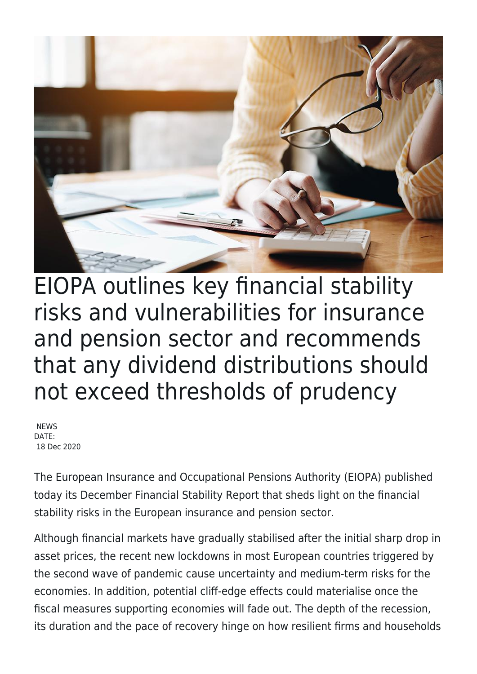

EIOPA outlines key financial stability risks and vulnerabilities for insurance and pension sector and recommends that any dividend distributions should not exceed thresholds of prudency

**NFWS** DATE: 18 Dec 2020

The European Insurance and Occupational Pensions Authority (EIOPA) published today its December Financial Stability Report that sheds light on the financial stability risks in the European insurance and pension sector.

Although financial markets have gradually stabilised after the initial sharp drop in asset prices, the recent new lockdowns in most European countries triggered by the second wave of pandemic cause uncertainty and medium-term risks for the economies. In addition, potential cliff-edge effects could materialise once the fiscal measures supporting economies will fade out. The depth of the recession, its duration and the pace of recovery hinge on how resilient firms and households